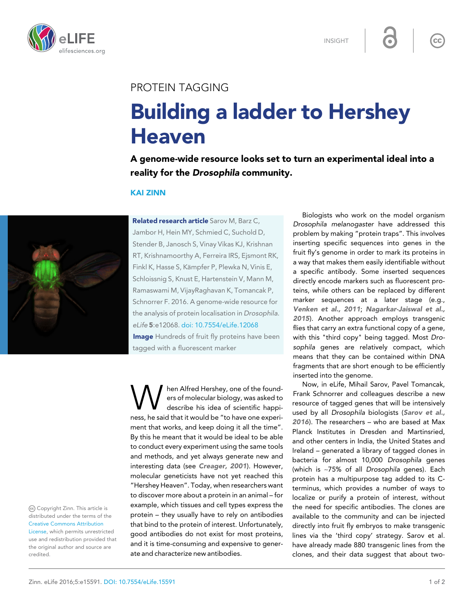

INSIGHT

 $cc$ 

## PROTEIN TAGGING

## Building a ladder to Hershey Heaven

A genome-wide resource looks set to turn an experimental ideal into a reality for the *Drosophila* community.

## KAI ZINN



Jambor H, Hein MY, Schmied C, Suchold D, Stender B, Janosch S, Vinay Vikas KJ, Krishnan RT, Krishnamoorthy A, Ferreira IRS, Ejsmont RK, Finkl K, Hasse S, Kämpfer P, Plewka N, Vinis E, Schloissnig S, Knust E, Hartenstein V, Mann M, Ramaswami M, VijayRaghavan K, Tomancak P, Schnorrer F. 2016. A genome-wide resource for the analysis of protein localisation in Drosophila. eLife 5:e12068. [doi: 10.7554/eLife.12068](http://doi.org/10.7554/eLife.12068) **Image** Hundreds of fruit fly proteins have been tagged with a fluorescent marker

> hen Alfred Hershey, one of the founders of molecular biology, was asked to

W describe his idea of scientific happiness, he said that it would be "to have one experiment that works, and keep doing it all the time". By this he meant that it would be ideal to be able to conduct every experiment using the same tools and methods, and yet always generate new and interesting data (see *[Creager, 2001](#page-1-0)*). However, molecular geneticists have not yet reached this "Hershey Heaven". Today, when researchers want to discover more about a protein in an animal – for example, which tissues and cell types express the protein – they usually have to rely on antibodies that bind to the protein of interest. Unfortunately, good antibodies do not exist for most proteins, and it is time-consuming and expensive to generate and characterize new antibodies.

Biologists who work on the model organism Drosophila melanogaster have addressed this problem by making "protein traps". This involves inserting specific sequences into genes in the fruit fly's genome in order to mark its proteins in a way that makes them easily identifiable without a specific antibody. Some inserted sequences directly encode markers such as fluorescent proteins, while others can be replaced by different marker sequences at a later stage (e.g., *[Venken et al., 2011](#page-1-0)*; *[Nagarkar-Jaiswal et al.,](#page-1-0) [2015](#page-1-0)*). Another approach employs transgenic flies that carry an extra functional copy of a gene, with this "third copy" being tagged. Most Drosophila genes are relatively compact, which means that they can be contained within DNA fragments that are short enough to be efficiently inserted into the genome.

Now, in eLife, Mihail Sarov, Pavel Tomancak, Frank Schnorrer and colleagues describe a new resource of tagged genes that will be intensively used by all Drosophila biologists (*[Sarov et al.,](#page-1-0) [2016](#page-1-0)*). The researchers – who are based at Max Planck Institutes in Dresden and Martinsried, and other centers in India, the United States and Ireland – generated a library of tagged clones in bacteria for almost 10,000 Drosophila genes (which is ~75% of all Drosophila genes). Each protein has a multipurpose tag added to its Cterminus, which provides a number of ways to localize or purify a protein of interest, without the need for specific antibodies. The clones are available to the community and can be injected directly into fruit fly embryos to make transgenic lines via the 'third copy' strategy. Sarov et al. have already made 880 transgenic lines from the clones, and their data suggest that about two-

Copyright Zinn. This article is distributed under the terms of the [Creative Commons Attribution](http://creativecommons.org/licenses/by/4.0/) [License](http://creativecommons.org/licenses/by/4.0/), which permits unrestricted use and redistribution provided that the original author and source are

credited.